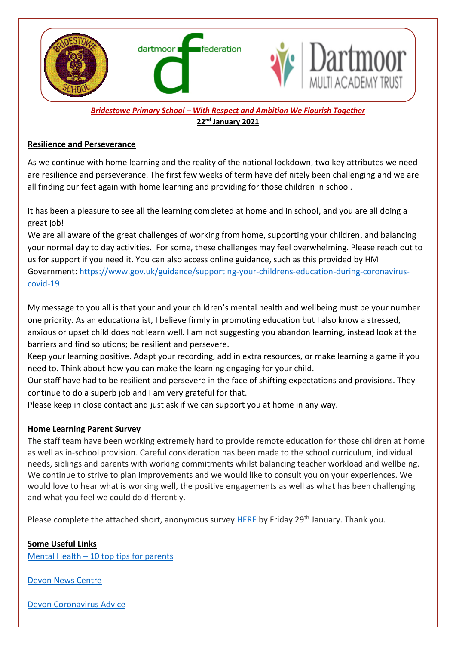

# *Bridestowe Primary School – With Respect and Ambition We Flourish Together* **22nd January 2021**

### **Resilience and Perseverance**

As we continue with home learning and the reality of the national lockdown, two key attributes we need are resilience and perseverance. The first few weeks of term have definitely been challenging and we are all finding our feet again with home learning and providing for those children in school.

It has been a pleasure to see all the learning completed at home and in school, and you are all doing a great job!

We are all aware of the great challenges of working from home, supporting your children, and balancing your normal day to day activities. For some, these challenges may feel overwhelming. Please reach out to us for support if you need it. You can also access online guidance, such as this provided by HM Government: [https://www.gov.uk/guidance/supporting-your-childrens-education-during-coronavirus](https://www.gov.uk/guidance/supporting-your-childrens-education-during-coronavirus-covid-19)[covid-19](https://www.gov.uk/guidance/supporting-your-childrens-education-during-coronavirus-covid-19)

My message to you all is that your and your children's mental health and wellbeing must be your number one priority. As an educationalist, I believe firmly in promoting education but I also know a stressed, anxious or upset child does not learn well. I am not suggesting you abandon learning, instead look at the barriers and find solutions; be resilient and persevere.

Keep your learning positive. Adapt your recording, add in extra resources, or make learning a game if you need to. Think about how you can make the learning engaging for your child.

Our staff have had to be resilient and persevere in the face of shifting expectations and provisions. They continue to do a superb job and I am very grateful for that.

Please keep in close contact and just ask if we can support you at home in any way.

# **Home Learning Parent Survey**

The staff team have been working extremely hard to provide remote education for those children at home as well as in-school provision. Careful consideration has been made to the school curriculum, individual needs, siblings and parents with working commitments whilst balancing teacher workload and wellbeing. We continue to strive to plan improvements and we would like to consult you on your experiences. We would love to hear what is working well, the positive engagements as well as what has been challenging and what you feel we could do differently.

Please complete the attached short, anonymous survey **HERE** by Friday 29<sup>th</sup> January. Thank you.

# **Some Useful Links**

Mental Health – [10 top tips for parents](https://ssscpd.co.uk/education/parentsandguardians/child-mental-health-10-tips-for-parents/-/pj==s)

[Devon News](https://www.devonnewscentre.info/public-health-and-nhs-issue-joint-appeal-after-devon-covid-19-cases-reach-record-high/) Centre

[Devon Coronavirus Advice](https://www.devon.gov.uk/coronavirus-advice-in-devon/)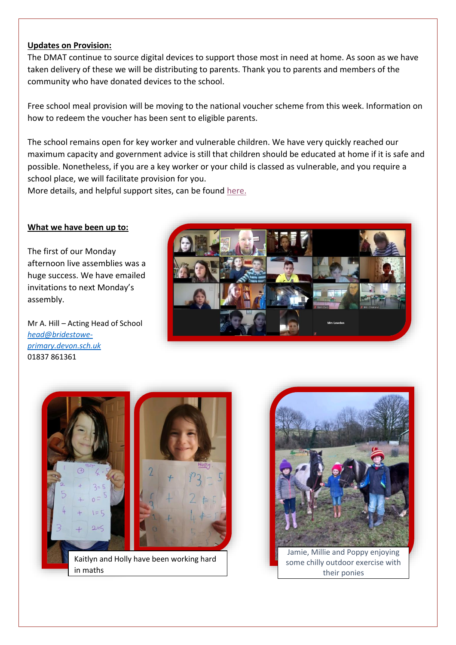### **Updates on Provision:**

The DMAT continue to source digital devices to support those most in need at home. As soon as we have taken delivery of these we will be distributing to parents. Thank you to parents and members of the community who have donated devices to the school.

Free school meal provision will be moving to the national voucher scheme from this week. Information on how to redeem the voucher has been sent to eligible parents.

The school remains open for key worker and vulnerable children. We have very quickly reached our maximum capacity and government advice is still that children should be educated at home if it is safe and possible. Nonetheless, if you are a key worker or your child is classed as vulnerable, and you require a school place, we will facilitate provision for you.

More details, and helpful support sites, can be found [here.](https://www.dartmoormat.org.uk/news-and-views.html)

### **What we have been up to:**

The first of our Monday afternoon live assemblies was a huge success. We have emailed invitations to next Monday's assembly.

Mr A. Hill – Acting Head of School *[head@bridestowe](mailto:head@bridestowe-primary.devon.sch.uk)[primary.devon.sch.uk](mailto:head@bridestowe-primary.devon.sch.uk)* 01837 861361